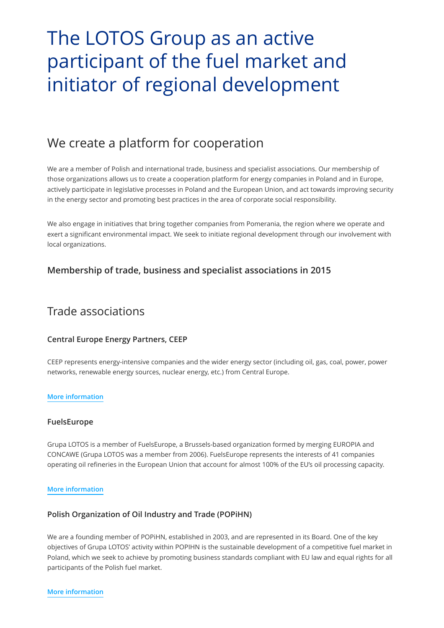# The LOTOS Group as an active participant of the fuel market and initiator of regional development

# We create a platform for cooperation

We are a member of Polish and international trade, business and specialist associations. Our membership of those organizations allows us to create a cooperation platform for energy companies in Poland and in Europe, actively participate in legislative processes in Poland and the European Union, and act towards improving security in the energy sector and promoting best practices in the area of corporate social responsibility.

We also engage in initiatives that bring together companies from Pomerania, the region where we operate and exert a significant environmental impact. We seek to initiate regional development through our involvement with local organizations.

# **Membership of trade, business and specialist associations in 2015**

# Trade associations

# **Central Europe Energy Partners, CEEP**

CEEP represents energy-intensive companies and the wider energy sector (including oil, gas, coal, power, power networks, renewable energy sources, nuclear energy, etc.) from Central Europe.

#### **[More information](http://www.ceep.be/)**

#### **FuelsEurope**

Grupa LOTOS is a member of FuelsEurope, a Brussels-based organization formed by merging EUROPIA and CONCAWE (Grupa LOTOS was a member from 2006). FuelsEurope represents the interests of 41 companies operating oil refineries in the European Union that account for almost 100% of the EU's oil processing capacity.

#### **[More information](http://www.fuelseurope.eu/)**

# **Polish Organization of Oil Industry and Trade (POPiHN)**

We are a founding member of POPiHN, established in 2003, and are represented in its Board. One of the key objectives of Grupa LOTOS' activity within POPIHN is the sustainable development of a competitive fuel market in Poland, which we seek to achieve by promoting business standards compliant with EU law and equal rights for all participants of the Polish fuel market.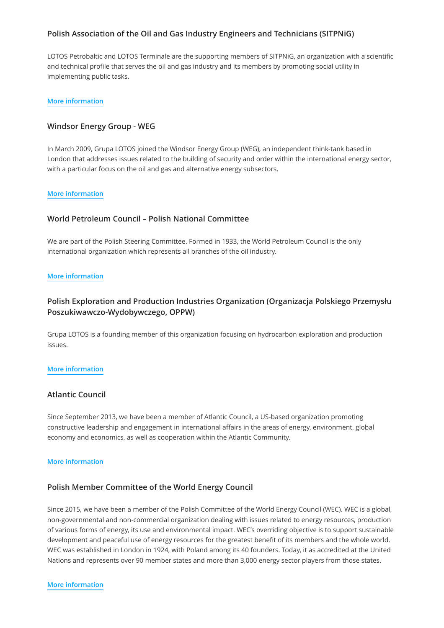# **Polish Association of the Oil and Gas Industry Engineers and Technicians (SITPNiG)**

LOTOS Petrobaltic and LOTOS Terminale are the supporting members of SITPNiG, an organization with a scientific and technical profile that serves the oil and gas industry and its members by promoting social utility in implementing public tasks.

#### **[More information](http://sitpnig.pl/)**

### **Windsor Energy Group - WEG**

In March 2009, Grupa LOTOS joined the Windsor Energy Group (WEG), an independent think-tank based in London that addresses issues related to the building of security and order within the international energy sector, with a particular focus on the oil and gas and alternative energy subsectors.

#### **[More information](http://mecint.wordpress.com/international-affairs/windsor-energy-group/)**

### **World Petroleum Council – Polish National Committee**

We are part of the Polish Steering Committee. Formed in 1933, the World Petroleum Council is the only international organization which represents all branches of the oil industry.

#### **[More information](http://www.world-petroleum.org/)**

# **Polish Exploration and Production Industries Organization (Organizacja Polskiego Przemysłu Poszukiwawczo-Wydobywczego, OPPW)**

Grupa LOTOS is a founding member of this organization focusing on hydrocarbon exploration and production issues.

#### **[More information](http://www.opppw.pl/en/)**

#### **Atlantic Council**

Since September 2013, we have been a member of Atlantic Council, a US-based organization promoting constructive leadership and engagement in international affairs in the areas of energy, environment, global economy and economics, as well as cooperation within the Atlantic Community.

#### **[More information](http://www.atlanticcouncil.org/)**

### **Polish Member Committee of the World Energy Council**

Since 2015, we have been a member of the Polish Committee of the World Energy Council (WEC). WEC is a global, non-governmental and non-commercial organization dealing with issues related to energy resources, production of various forms of energy, its use and environmental impact. WEC's overriding objective is to support sustainable development and peaceful use of energy resources for the greatest benefit of its members and the whole world. WEC was established in London in 1924, with Poland among its 40 founders. Today, it as accredited at the United Nations and represents over 90 member states and more than 3,000 energy sector players from those states.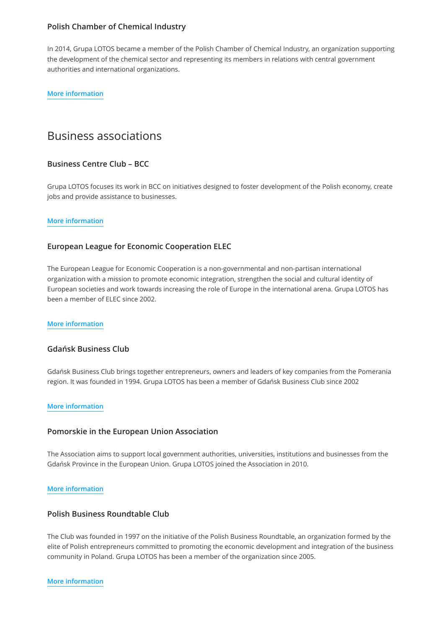### **Polish Chamber of Chemical Industry**

In 2014, Grupa LOTOS became a member of the Polish Chamber of Chemical Industry, an organization supporting the development of the chemical sector and representing its members in relations with central government authorities and international organizations.

#### **[More information](http://www.pipc.org.pl/index.php?lang=pl)**

# Business associations

# **Business Centre Club – BCC**

Grupa LOTOS focuses its work in BCC on initiatives designed to foster development of the Polish economy, create jobs and provide assistance to businesses.

#### **[More information](http://www.bcc.org.pl/)**

### **European League for Economic Cooperation ELEC**

The European League for Economic Cooperation is a non-governmental and non-partisan international organization with a mission to promote economic integration, strengthen the social and cultural identity of European societies and work towards increasing the role of Europe in the international arena. Grupa LOTOS has been a member of ELEC since 2002.

#### **[More information](http://www.eleclece.eu/en/)**

#### **Gdańsk Business Club**

Gdańsk Business Club brings together entrepreneurs, owners and leaders of key companies from the Pomerania region. It was founded in 1994. Grupa LOTOS has been a member of Gdańsk Business Club since 2002

#### **[More information](http://gkb.pl/)**

#### **Pomorskie in the European Union Association**

The Association aims to support local government authorities, universities, institutions and businesses from the Gdańsk Province in the European Union. Grupa LOTOS joined the Association in 2010.

#### **[More information](http://pomorskieregion.eu/)**

#### **Polish Business Roundtable Club**

The Club was founded in 1997 on the initiative of the Polish Business Roundtable, an organization formed by the elite of Polish entrepreneurs committed to promoting the economic development and integration of the business community in Poland. Grupa LOTOS has been a member of the organization since 2005.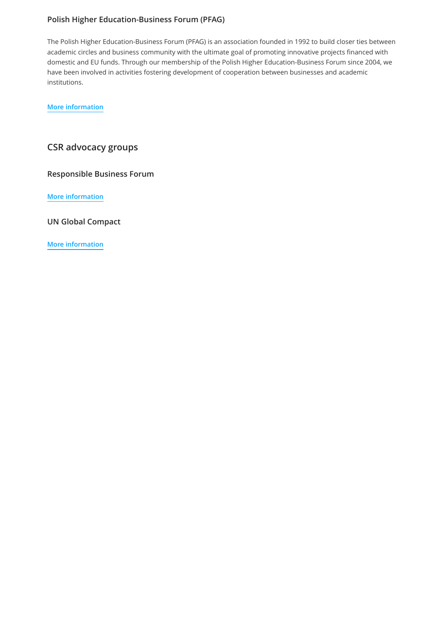# **Polish Higher Education-Business Forum (PFAG)**

The Polish Higher Education-Business Forum (PFAG) is an association founded in 1992 to build closer ties between academic circles and business community with the ultimate goal of promoting innovative projects financed with domestic and EU funds. Through our membership of the Polish Higher Education-Business Forum since 2004, we have been involved in activities fostering development of cooperation between businesses and academic institutions.

**[More information](http://www.pfag.org.pl/)**

# **CSR advocacy groups**

**Responsible Business Forum** 

**[More information](http://odpowiedzialnybiznes.pl/)**

**UN Global Compact**